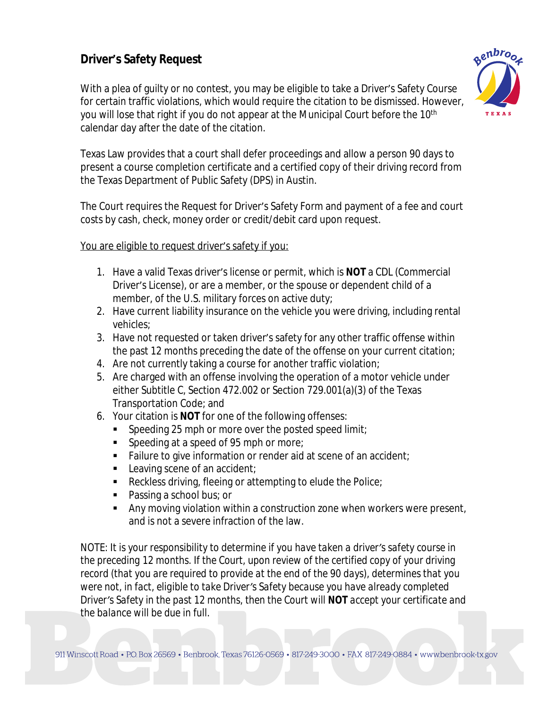# **Driver's Safety Request**

With a plea of guilty or no contest, you may be eligible to take a Driver's Safety Course for certain traffic violations, which would require the citation to be dismissed. However, you will lose that right if you do not appear at the Municipal Court before the 10<sup>th</sup> calendar day after the date of the citation.



Texas Law provides that a court shall defer proceedings and allow a person 90 days to present a course completion certificate and a certified copy of their driving record from the Texas Department of Public Safety (DPS) in Austin.

The Court requires the Request for Driver's Safety Form and payment of a fee and court costs by cash, check, money order or credit/debit card upon request.

You are eligible to request driver's safety if you:

- 1. Have a valid Texas driver's license or permit, which is **NOT** a CDL (Commercial Driver's License), or are a member, or the spouse or dependent child of a member, of the U.S. military forces on active duty;
- 2. Have current liability insurance on the vehicle you were driving, including rental vehicles;
- 3. Have not requested or taken driver's safety for any other traffic offense within the past 12 months preceding the date of the offense on your current citation;
- 4. Are not currently taking a course for another traffic violation;
- 5. Are charged with an offense involving the operation of a motor vehicle under either Subtitle C, Section 472.002 or Section 729.001(a)(3) of the Texas Transportation Code; and
- 6. Your citation is **NOT** for one of the following offenses:
	- Speeding 25 mph or more over the posted speed limit;
	- **Speeding at a speed of 95 mph or more;**
	- Failure to give information or render aid at scene of an accident;
	- Leaving scene of an accident:
	- Reckless driving, fleeing or attempting to elude the Police;
	- Passing a school bus; or
	- **Any moving violation within a construction zone when workers were present,** and is not a severe infraction of the law.

*NOTE: It is your responsibility to determine if you have taken a driver's safety course in the preceding 12 months. If the Court, upon review of the certified copy of your driving record (that you are required to provide at the end of the 90 days), determines that you were not, in fact, eligible to take Driver's Safety because you have already completed Driver's Safety in the past 12 months, then the Court will NOT accept your certificate and the balance will be due in full.*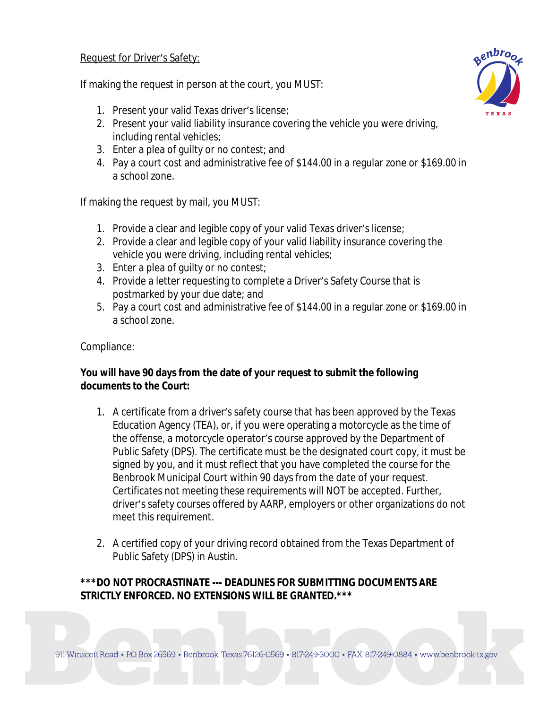#### Request for Driver's Safety:

If making the request in person at the court, you MUST:

- 1. Present your valid Texas driver's license;
- 2. Present your valid liability insurance covering the vehicle you were driving, including rental vehicles;
- 3. Enter a plea of guilty or no contest; and
- 4. Pay a court cost and administrative fee of \$144.00 in a regular zone or \$169.00 in a school zone.

If making the request by mail, you MUST:

- 1. Provide a clear and legible copy of your valid Texas driver's license;
- 2. Provide a clear and legible copy of your valid liability insurance covering the vehicle you were driving, including rental vehicles;
- 3. Enter a plea of guilty or no contest;
- 4. Provide a letter requesting to complete a Driver's Safety Course that is postmarked by your due date; and
- 5. Pay a court cost and administrative fee of \$144.00 in a regular zone or \$169.00 in a school zone.

#### Compliance:

### **You will have 90 days from the date of your request to submit the following documents to the Court:**

- 1. A certificate from a driver's safety course that has been approved by the Texas Education Agency (TEA), or, if you were operating a motorcycle as the time of the offense, a motorcycle operator's course approved by the Department of Public Safety (DPS). The certificate must be the designated court copy, it must be signed by you, and it must reflect that you have completed the course for the Benbrook Municipal Court within 90 days from the date of your request. Certificates not meeting these requirements will NOT be accepted. Further, driver's safety courses offered by AARP, employers or other organizations do not meet this requirement.
- 2. A certified copy of your driving record obtained from the Texas Department of Public Safety (DPS) in Austin.

## **\*\*\*DO NOT PROCRASTINATE --- DEADLINES FOR SUBMITTING DOCUMENTS ARE STRICTLY ENFORCED. NO EXTENSIONS WILL BE GRANTED.\*\*\***

911 Winscott Road • P.O. Box 26569 • Benbrook, Texas 76126-0569 • 817-249-3000 • FAX 817-249-0884 • www.benbrook-tx.gov